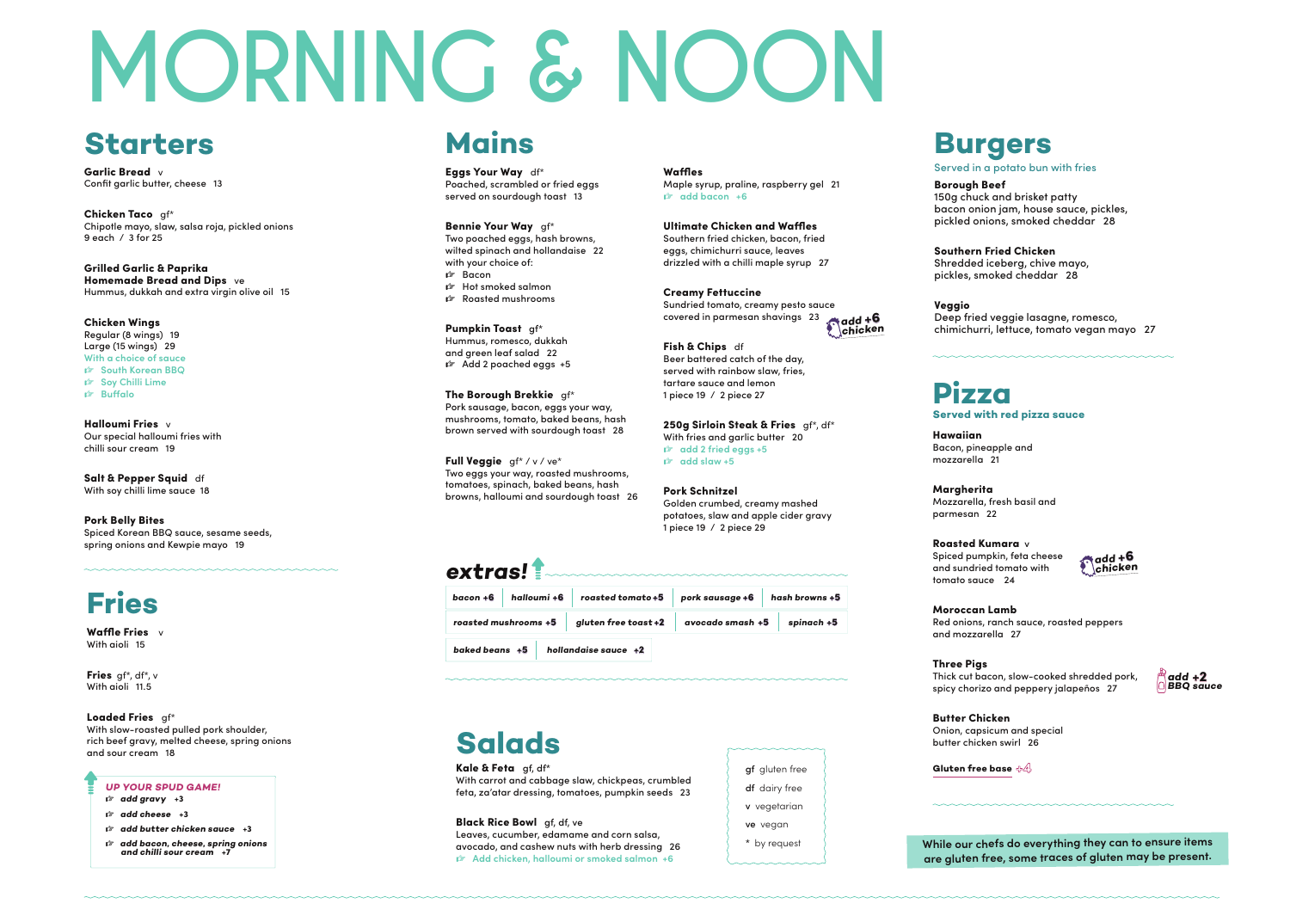### **Starters**

Garlic Bread v Confit garlic butter, cheese 13

Chicken Taco gf\* Chipotle mayo, slaw, salsa roja, pickled onions 9 each / 3 for 25

Grilled Garlic & Paprika Homemade Bread and Dips ve Hummus, dukkah and extra virgin olive oil 15

Salt & Pepper Squid df With soy chilli lime sauce 18

Chicken Wings Regular (8 wings) 19 Large (15 wings) 29 **With a choice of sauce ☞ South Korean BBQ ☞ Soy Chilli Lime ☞ Buffalo**

Halloumi Fries v Our special halloumi fries with chilli sour cream 19

#### Pork Belly Bites

Spiced Korean BBQ sauce, sesame seeds, spring onions and Kewpie mayo 19

### **extras!**

250g Sirloin Steak & Fries gf\*, df\* With fries and garlic butter 20 **☞ add 2 fried eggs +5 ☞ add slaw +5**

| bacon +6       | halloumi +6          | roasted tomato+5     | pork sausage +6  | hash browns +5 |
|----------------|----------------------|----------------------|------------------|----------------|
|                | roasted mushrooms +5 | gluten free toast +2 | avocado smash +5 | spinach +5     |
| baked beans +5 |                      | hollandaise sauce +2 |                  |                |

Waffles Maple syrup, praline, raspberry gel 21 **☞ add bacon +6**

Pumpkin Toast gf\* Hummus, romesco, dukkah and green leaf salad 22 ☞ Add 2 poached eggs +5 Ultimate Chicken and Waffles Southern fried chicken, bacon, fried eggs, chimichurri sauce, leaves drizzled with a chilli maple syrup 27

Full Veggie gf\* / v / ve\* Two eggs your way, roasted mushrooms, tomatoes, spinach, baked beans, hash browns, halloumi and sourdough toast 26 Fish & Chips df Beer battered catch of the day, served with rainbow slaw, fries, tartare sauce and lemon 1 piece 19 / 2 piece 27

Pork Schnitzel Golden crumbed, creamy mashed potatoes, slaw and apple cider gravy 1 piece 19 / 2 piece 29

Eggs Your Way df\* Poached, scrambled or fried eggs served on sourdough toast 13

Waffle Fries v With aioli 15

Fries gf\*, df\*, v With aioli 11.5

Loaded Fries qf\*

Bennie Your Way gf\* Two poached eggs, hash browns, wilted spinach and hollandaise 22 with your choice of: ☞ Bacon ☞ Hot smoked salmon ☞ Roasted mushrooms

Kale & Feta af. df\* With carrot and cabbage slaw, chickpeas, crumbled feta, za'atar dressing, tomatoes, pumpkin seeds 23

df dairy free v vegetarian ve vegan

The Borough Brekkie gf\* Pork sausage, bacon, eggs your way, mushrooms, tomato, baked beans, hash brown served with sourdough toast 28

### **Mains**

# **MORNING & NOON**

Bacon, pineapple and

Hawaiian mozzarella 21

Margherita parmesan 22

Mozzarella, fresh basil and

Roasted Kumara v Spiced pumpkin, feta cheese and sundried tomato with tomato sauce 24

Creamy Fettuccine Sundried tomato, creamy pesto sauce covered in parmesan shavings 23 +6 **add chicken**

> Moroccan Lamb Red onions, ranch sauce, roasted peppers and mozzarella 27

Three Pigs Thick cut bacon, slow-cooked shredded pork, spicy chorizo and peppery jalapeños 27

Butter Chicken Onion, capsicum and special butter chicken swirl 26

**Gluten free base**  $\oplus$ 4

### **Served with red pizza sauce**

## **Pizza**



+6 **add chicken**

Borough Beef

150g chuck and brisket patty bacon onion jam, house sauce, pickles, pickled onions, smoked cheddar 28



Southern Fried Chicken Shredded iceberg, chive mayo, pickles, smoked cheddar 28

Veggio

Deep fried veggie lasagne, romesco, chimichurri, lettuce, tomato vegan mayo 27

With slow-roasted pulled pork shoulder, rich beef gravy, melted cheese, spring onions and sour cream 18

### **Fries**

#### **UP YOUR SPUD GAME!**

- **☞ add gravy** +3
- **☞ add cheese** +3

**☞ add butter chicken sauce** +3

**☞ add bacon, cheese, spring onions and chilli sour cream** +7

### **Salads**

Black Rice Bowl gf, df, ve Leaves, cucumber, edamame and corn salsa, avocado, and cashew nuts with herb dressing 26 **☞ Add chicken, halloumi or smoked salmon +6**

gf gluten free

\* by request

**While our chefs do everything they can to ensure items are gluten free, some traces of gluten may be present.**